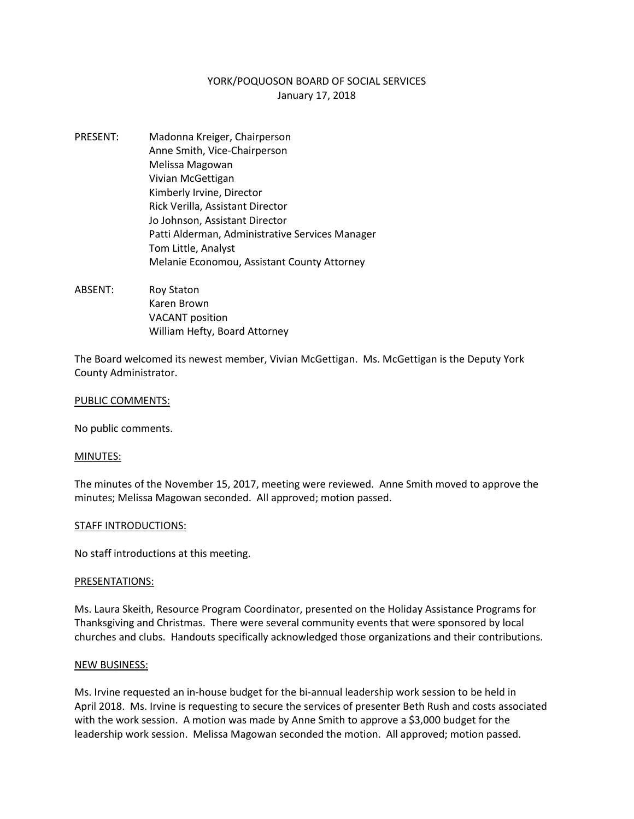# YORK/POQUOSON BOARD OF SOCIAL SERVICES January 17, 2018

- PRESENT: Madonna Kreiger, Chairperson Anne Smith, Vice-Chairperson Melissa Magowan Vivian McGettigan Kimberly Irvine, Director Rick Verilla, Assistant Director Jo Johnson, Assistant Director Patti Alderman, Administrative Services Manager Tom Little, Analyst Melanie Economou, Assistant County Attorney
- ABSENT: Roy Staton Karen Brown VACANT position William Hefty, Board Attorney

The Board welcomed its newest member, Vivian McGettigan. Ms. McGettigan is the Deputy York County Administrator.

## PUBLIC COMMENTS:

No public comments.

#### MINUTES:

The minutes of the November 15, 2017, meeting were reviewed. Anne Smith moved to approve the minutes; Melissa Magowan seconded. All approved; motion passed.

#### STAFF INTRODUCTIONS:

No staff introductions at this meeting.

#### PRESENTATIONS:

Ms. Laura Skeith, Resource Program Coordinator, presented on the Holiday Assistance Programs for Thanksgiving and Christmas. There were several community events that were sponsored by local churches and clubs. Handouts specifically acknowledged those organizations and their contributions.

#### NEW BUSINESS:

Ms. Irvine requested an in-house budget for the bi-annual leadership work session to be held in April 2018. Ms. Irvine is requesting to secure the services of presenter Beth Rush and costs associated with the work session. A motion was made by Anne Smith to approve a \$3,000 budget for the leadership work session. Melissa Magowan seconded the motion. All approved; motion passed.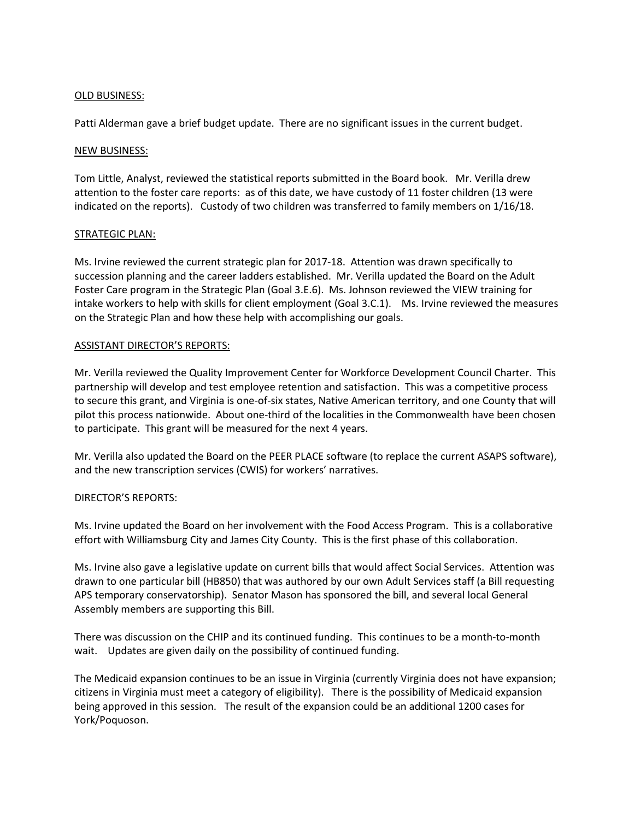# OLD BUSINESS:

Patti Alderman gave a brief budget update. There are no significant issues in the current budget.

### NEW BUSINESS:

Tom Little, Analyst, reviewed the statistical reports submitted in the Board book. Mr. Verilla drew attention to the foster care reports: as of this date, we have custody of 11 foster children (13 were indicated on the reports). Custody of two children was transferred to family members on 1/16/18.

## STRATEGIC PLAN:

Ms. Irvine reviewed the current strategic plan for 2017-18. Attention was drawn specifically to succession planning and the career ladders established. Mr. Verilla updated the Board on the Adult Foster Care program in the Strategic Plan (Goal 3.E.6). Ms. Johnson reviewed the VIEW training for intake workers to help with skills for client employment (Goal 3.C.1). Ms. Irvine reviewed the measures on the Strategic Plan and how these help with accomplishing our goals.

## ASSISTANT DIRECTOR'S REPORTS:

Mr. Verilla reviewed the Quality Improvement Center for Workforce Development Council Charter. This partnership will develop and test employee retention and satisfaction. This was a competitive process to secure this grant, and Virginia is one-of-six states, Native American territory, and one County that will pilot this process nationwide. About one-third of the localities in the Commonwealth have been chosen to participate. This grant will be measured for the next 4 years.

Mr. Verilla also updated the Board on the PEER PLACE software (to replace the current ASAPS software), and the new transcription services (CWIS) for workers' narratives.

# DIRECTOR'S REPORTS:

Ms. Irvine updated the Board on her involvement with the Food Access Program. This is a collaborative effort with Williamsburg City and James City County. This is the first phase of this collaboration.

Ms. Irvine also gave a legislative update on current bills that would affect Social Services. Attention was drawn to one particular bill (HB850) that was authored by our own Adult Services staff (a Bill requesting APS temporary conservatorship). Senator Mason has sponsored the bill, and several local General Assembly members are supporting this Bill.

There was discussion on the CHIP and its continued funding. This continues to be a month-to-month wait. Updates are given daily on the possibility of continued funding.

The Medicaid expansion continues to be an issue in Virginia (currently Virginia does not have expansion; citizens in Virginia must meet a category of eligibility). There is the possibility of Medicaid expansion being approved in this session. The result of the expansion could be an additional 1200 cases for York/Poquoson.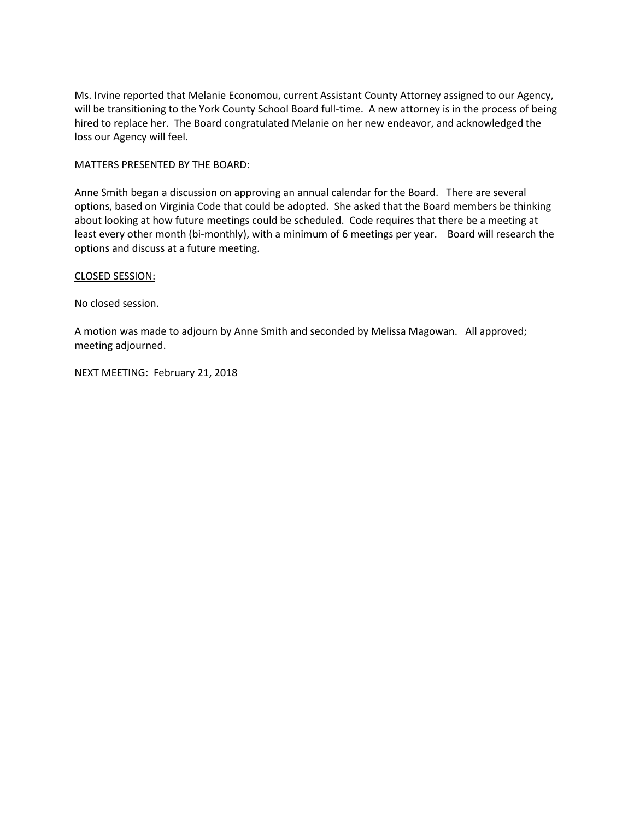Ms. Irvine reported that Melanie Economou, current Assistant County Attorney assigned to our Agency, will be transitioning to the York County School Board full-time. A new attorney is in the process of being hired to replace her. The Board congratulated Melanie on her new endeavor, and acknowledged the loss our Agency will feel.

# MATTERS PRESENTED BY THE BOARD:

Anne Smith began a discussion on approving an annual calendar for the Board. There are several options, based on Virginia Code that could be adopted. She asked that the Board members be thinking about looking at how future meetings could be scheduled. Code requires that there be a meeting at least every other month (bi-monthly), with a minimum of 6 meetings per year. Board will research the options and discuss at a future meeting.

## CLOSED SESSION:

No closed session.

A motion was made to adjourn by Anne Smith and seconded by Melissa Magowan. All approved; meeting adjourned.

NEXT MEETING: February 21, 2018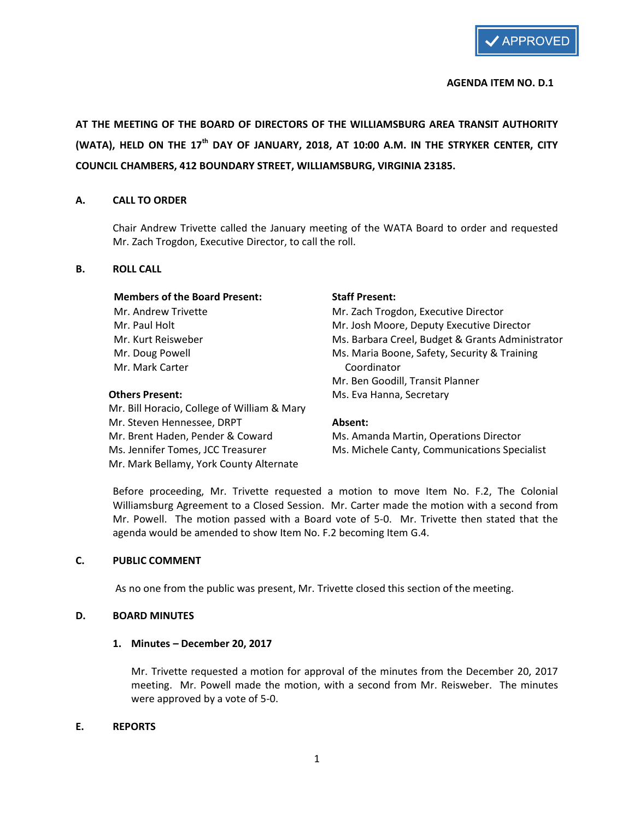

#### AGENDA ITEM NO. D.1

AT THE MEETING OF THE BOARD OF DIRECTORS OF THE WILLIAMSBURG AREA TRANSIT AUTHORITY (WATA), HELD ON THE 17<sup>th</sup> DAY OF JANUARY, 2018, AT 10:00 A.M. IN THE STRYKER CENTER, CITY COUNCIL CHAMBERS, 412 BOUNDARY STREET, WILLIAMSBURG, VIRGINIA 23185.

#### A. CALL TO ORDER

Chair Andrew Trivette called the January meeting of the WATA Board to order and requested Mr. Zach Trogdon, Executive Director, to call the roll.

#### B. ROLL CALL

#### Members of the Board Present: Staff Present:

Mr. Mark Carter Coordinator

 Mr. Bill Horacio, College of William & Mary Mr. Steven Hennessee, DRPT **Absent:** Mr. Brent Haden, Pender & Coward Ms. Amanda Martin, Operations Director Mr. Mark Bellamy, York County Alternate

Mr. Andrew Trivette Mr. Zach Trogdon, Executive Director Mr. Paul Holt Mr. Josh Moore, Deputy Executive Director Mr. Kurt Reisweber **Mr. Barbara Creel, Budget & Grants Administrator** Mr. Kurt Reisweber Mr. Doug Powell **Maria Boone**, Safety, Security & Training Mr. Ben Goodill, Transit Planner Others Present: Ms. Eva Hanna, Secretary

Ms. Jennifer Tomes, JCC Treasurer Ms. Michele Canty, Communications Specialist

Before proceeding, Mr. Trivette requested a motion to move Item No. F.2, The Colonial Williamsburg Agreement to a Closed Session. Mr. Carter made the motion with a second from Mr. Powell. The motion passed with a Board vote of 5-0. Mr. Trivette then stated that the agenda would be amended to show Item No. F.2 becoming Item G.4.

#### C. PUBLIC COMMENT

As no one from the public was present, Mr. Trivette closed this section of the meeting.

#### D. BOARD MINUTES

#### 1. Minutes – December 20, 2017

Mr. Trivette requested a motion for approval of the minutes from the December 20, 2017 meeting. Mr. Powell made the motion, with a second from Mr. Reisweber. The minutes were approved by a vote of 5-0.

#### E. REPORTS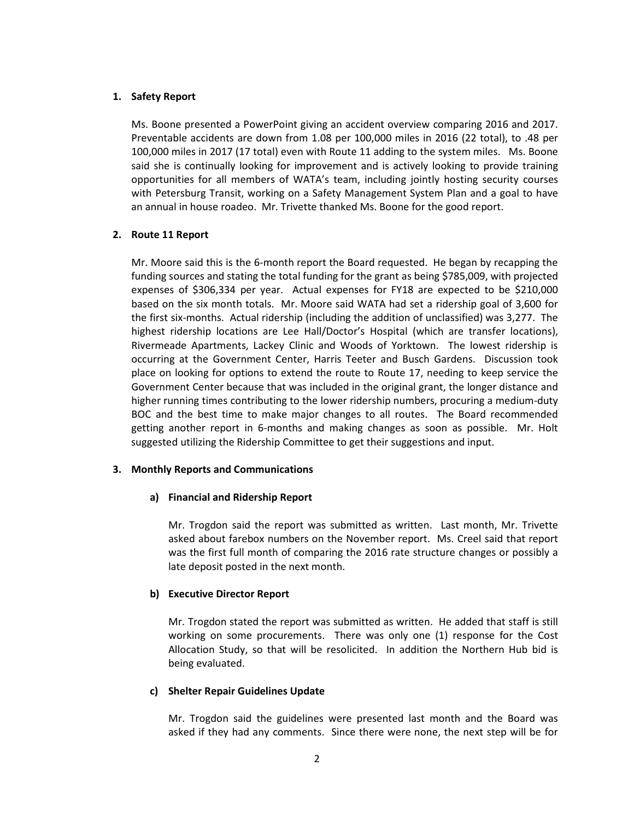## 1. Safety Report

Ms. Boone presented a PowerPoint giving an accident overview comparing 2016 and 2017. Preventable accidents are down from 1.08 per 100,000 miles in 2016 (22 total), to .48 per 100,000 miles in 2017 (17 total) even with Route 11 adding to the system miles. Ms. Boone said she is continually looking for improvement and is actively looking to provide training opportunities for all members of WATA's team, including jointly hosting security courses with Petersburg Transit, working on a Safety Management System Plan and a goal to have an annual in house roadeo. Mr. Trivette thanked Ms. Boone for the good report.

## 2. Route 11 Report

Mr. Moore said this is the 6-month report the Board requested. He began by recapping the funding sources and stating the total funding for the grant as being \$785,009, with projected expenses of \$306,334 per year. Actual expenses for FY18 are expected to be \$210,000 based on the six month totals. Mr. Moore said WATA had set a ridership goal of 3,600 for the first six-months. Actual ridership (including the addition of unclassified) was 3,277. The highest ridership locations are Lee Hall/Doctor's Hospital (which are transfer locations), Rivermeade Apartments, Lackey Clinic and Woods of Yorktown. The lowest ridership is occurring at the Government Center, Harris Teeter and Busch Gardens. Discussion took place on looking for options to extend the route to Route 17, needing to keep service the Government Center because that was included in the original grant, the longer distance and higher running times contributing to the lower ridership numbers, procuring a medium-duty BOC and the best time to make major changes to all routes. The Board recommended getting another report in 6-months and making changes as soon as possible. Mr. Holt suggested utilizing the Ridership Committee to get their suggestions and input.

#### 3. Monthly Reports and Communications

#### a) Financial and Ridership Report

Mr. Trogdon said the report was submitted as written. Last month, Mr. Trivette asked about farebox numbers on the November report. Ms. Creel said that report was the first full month of comparing the 2016 rate structure changes or possibly a late deposit posted in the next month.

#### b) Executive Director Report

Mr. Trogdon stated the report was submitted as written. He added that staff is still working on some procurements. There was only one (1) response for the Cost Allocation Study, so that will be resolicited. In addition the Northern Hub bid is being evaluated.

#### c) Shelter Repair Guidelines Update

Mr. Trogdon said the guidelines were presented last month and the Board was asked if they had any comments. Since there were none, the next step will be for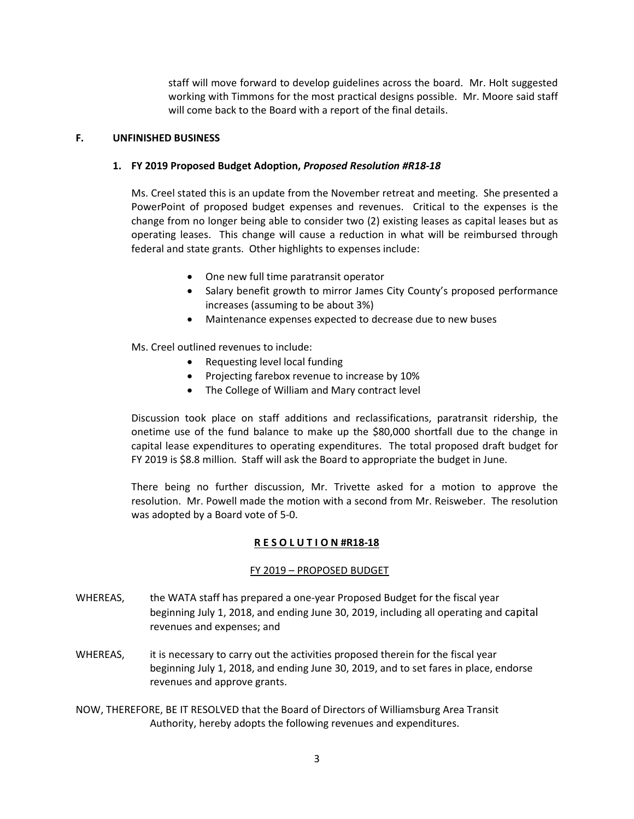staff will move forward to develop guidelines across the board. Mr. Holt suggested working with Timmons for the most practical designs possible. Mr. Moore said staff will come back to the Board with a report of the final details.

## F. UNFINISHED BUSINESS

## 1. FY 2019 Proposed Budget Adoption, Proposed Resolution #R18-18

Ms. Creel stated this is an update from the November retreat and meeting. She presented a PowerPoint of proposed budget expenses and revenues. Critical to the expenses is the change from no longer being able to consider two (2) existing leases as capital leases but as operating leases. This change will cause a reduction in what will be reimbursed through federal and state grants. Other highlights to expenses include:

- One new full time paratransit operator
- Salary benefit growth to mirror James City County's proposed performance increases (assuming to be about 3%)
- Maintenance expenses expected to decrease due to new buses

Ms. Creel outlined revenues to include:

- Requesting level local funding
- Projecting farebox revenue to increase by 10%
- The College of William and Mary contract level

Discussion took place on staff additions and reclassifications, paratransit ridership, the onetime use of the fund balance to make up the \$80,000 shortfall due to the change in capital lease expenditures to operating expenditures. The total proposed draft budget for FY 2019 is \$8.8 million. Staff will ask the Board to appropriate the budget in June.

There being no further discussion, Mr. Trivette asked for a motion to approve the resolution. Mr. Powell made the motion with a second from Mr. Reisweber. The resolution was adopted by a Board vote of 5-0.

# R E S O L U T I O N #R18-18

# FY 2019 – PROPOSED BUDGET

- WHEREAS, the WATA staff has prepared a one-year Proposed Budget for the fiscal year beginning July 1, 2018, and ending June 30, 2019, including all operating and capital revenues and expenses; and
- WHEREAS, it is necessary to carry out the activities proposed therein for the fiscal year beginning July 1, 2018, and ending June 30, 2019, and to set fares in place, endorse revenues and approve grants.
- NOW, THEREFORE, BE IT RESOLVED that the Board of Directors of Williamsburg Area Transit Authority, hereby adopts the following revenues and expenditures.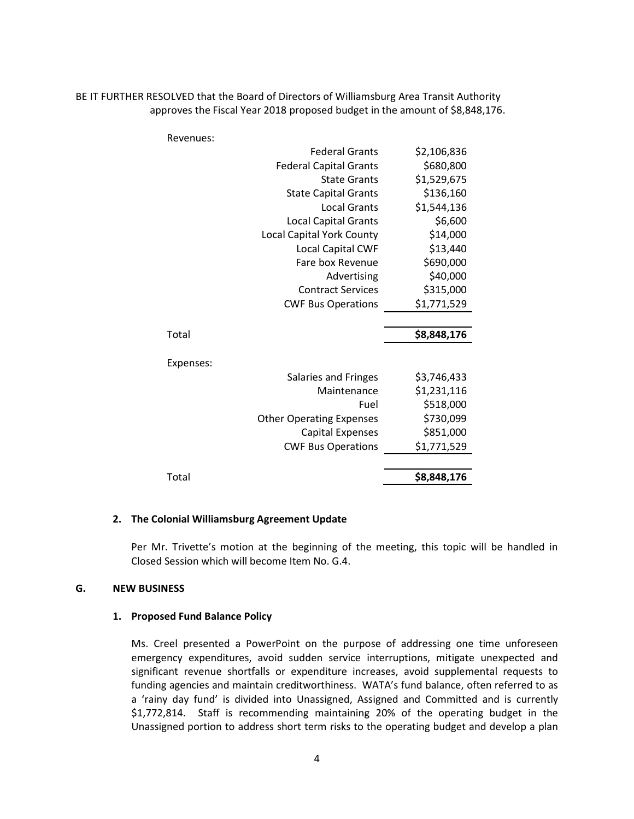BE IT FURTHER RESOLVED that the Board of Directors of Williamsburg Area Transit Authority approves the Fiscal Year 2018 proposed budget in the amount of \$8,848,176.

| Revenues: |                                  |             |
|-----------|----------------------------------|-------------|
|           | <b>Federal Grants</b>            | \$2,106,836 |
|           | <b>Federal Capital Grants</b>    | \$680,800   |
|           | <b>State Grants</b>              | \$1,529,675 |
|           | <b>State Capital Grants</b>      | \$136,160   |
|           | <b>Local Grants</b>              | \$1,544,136 |
|           | <b>Local Capital Grants</b>      | \$6,600     |
|           | <b>Local Capital York County</b> | \$14,000    |
|           | <b>Local Capital CWF</b>         | \$13,440    |
|           | Fare box Revenue                 | \$690,000   |
|           | Advertising                      | \$40,000    |
|           | <b>Contract Services</b>         | \$315,000   |
|           | <b>CWF Bus Operations</b>        | \$1,771,529 |
|           |                                  |             |
| Total     |                                  | \$8,848,176 |
| Expenses: |                                  |             |
|           | Salaries and Fringes             | \$3,746,433 |
|           | Maintenance                      | \$1,231,116 |
|           | Fuel                             | \$518,000   |
|           | <b>Other Operating Expenses</b>  | \$730,099   |
|           | <b>Capital Expenses</b>          | \$851,000   |
|           | <b>CWF Bus Operations</b>        | \$1,771,529 |
|           |                                  |             |
| Total     |                                  | \$8,848,176 |

#### 2. The Colonial Williamsburg Agreement Update

Per Mr. Trivette's motion at the beginning of the meeting, this topic will be handled in Closed Session which will become Item No. G.4.

### G. NEW BUSINESS

#### 1. Proposed Fund Balance Policy

Ms. Creel presented a PowerPoint on the purpose of addressing one time unforeseen emergency expenditures, avoid sudden service interruptions, mitigate unexpected and significant revenue shortfalls or expenditure increases, avoid supplemental requests to funding agencies and maintain creditworthiness. WATA's fund balance, often referred to as a 'rainy day fund' is divided into Unassigned, Assigned and Committed and is currently \$1,772,814. Staff is recommending maintaining 20% of the operating budget in the Unassigned portion to address short term risks to the operating budget and develop a plan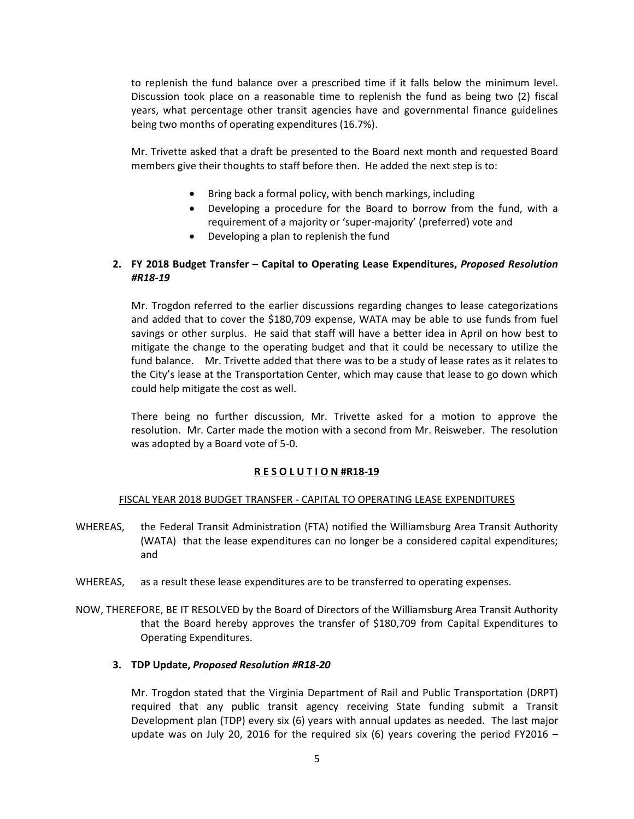to replenish the fund balance over a prescribed time if it falls below the minimum level. Discussion took place on a reasonable time to replenish the fund as being two (2) fiscal years, what percentage other transit agencies have and governmental finance guidelines being two months of operating expenditures (16.7%).

Mr. Trivette asked that a draft be presented to the Board next month and requested Board members give their thoughts to staff before then. He added the next step is to:

- Bring back a formal policy, with bench markings, including
- Developing a procedure for the Board to borrow from the fund, with a requirement of a majority or 'super-majority' (preferred) vote and
- Developing a plan to replenish the fund

# 2. FY 2018 Budget Transfer – Capital to Operating Lease Expenditures, Proposed Resolution #R18-19

Mr. Trogdon referred to the earlier discussions regarding changes to lease categorizations and added that to cover the \$180,709 expense, WATA may be able to use funds from fuel savings or other surplus. He said that staff will have a better idea in April on how best to mitigate the change to the operating budget and that it could be necessary to utilize the fund balance. Mr. Trivette added that there was to be a study of lease rates as it relates to the City's lease at the Transportation Center, which may cause that lease to go down which could help mitigate the cost as well.

There being no further discussion, Mr. Trivette asked for a motion to approve the resolution. Mr. Carter made the motion with a second from Mr. Reisweber. The resolution was adopted by a Board vote of 5-0.

# R E S O L U T I O N #R18-19

# FISCAL YEAR 2018 BUDGET TRANSFER - CAPITAL TO OPERATING LEASE EXPENDITURES

- WHEREAS, the Federal Transit Administration (FTA) notified the Williamsburg Area Transit Authority (WATA) that the lease expenditures can no longer be a considered capital expenditures; and
- WHEREAS, as a result these lease expenditures are to be transferred to operating expenses.
- NOW, THEREFORE, BE IT RESOLVED by the Board of Directors of the Williamsburg Area Transit Authority that the Board hereby approves the transfer of \$180,709 from Capital Expenditures to Operating Expenditures.

# 3. TDP Update, Proposed Resolution #R18-20

Mr. Trogdon stated that the Virginia Department of Rail and Public Transportation (DRPT) required that any public transit agency receiving State funding submit a Transit Development plan (TDP) every six (6) years with annual updates as needed. The last major update was on July 20, 2016 for the required six (6) years covering the period FY2016 –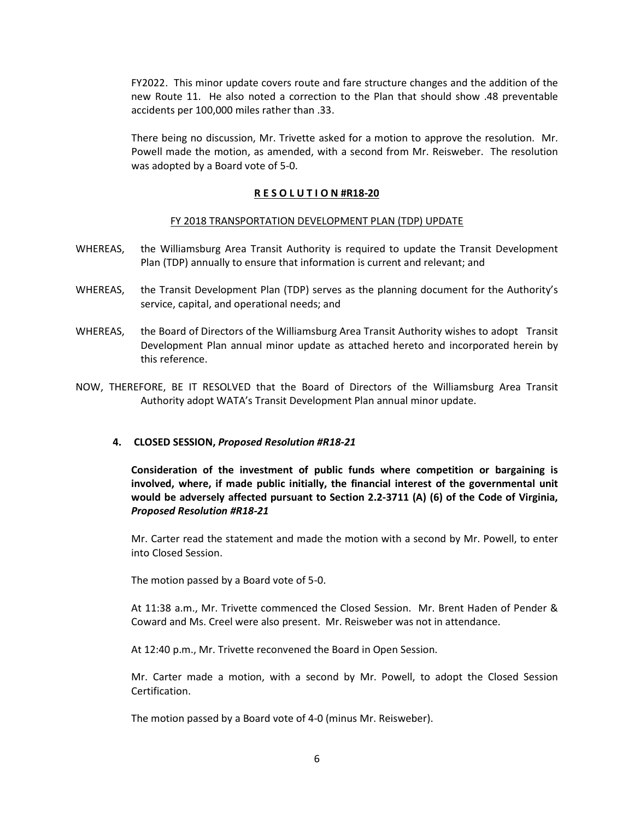FY2022. This minor update covers route and fare structure changes and the addition of the new Route 11. He also noted a correction to the Plan that should show .48 preventable accidents per 100,000 miles rather than .33.

There being no discussion, Mr. Trivette asked for a motion to approve the resolution. Mr. Powell made the motion, as amended, with a second from Mr. Reisweber. The resolution was adopted by a Board vote of 5-0.

#### R E S O L U T I O N #R18-20

#### FY 2018 TRANSPORTATION DEVELOPMENT PLAN (TDP) UPDATE

- WHEREAS, the Williamsburg Area Transit Authority is required to update the Transit Development Plan (TDP) annually to ensure that information is current and relevant; and
- WHEREAS, the Transit Development Plan (TDP) serves as the planning document for the Authority's service, capital, and operational needs; and
- WHEREAS, the Board of Directors of the Williamsburg Area Transit Authority wishes to adopt Transit Development Plan annual minor update as attached hereto and incorporated herein by this reference.
- NOW, THEREFORE, BE IT RESOLVED that the Board of Directors of the Williamsburg Area Transit Authority adopt WATA's Transit Development Plan annual minor update.

#### 4. CLOSED SESSION, Proposed Resolution #R18-21

Consideration of the investment of public funds where competition or bargaining is involved, where, if made public initially, the financial interest of the governmental unit would be adversely affected pursuant to Section 2.2-3711 (A) (6) of the Code of Virginia, Proposed Resolution #R18-21

Mr. Carter read the statement and made the motion with a second by Mr. Powell, to enter into Closed Session.

The motion passed by a Board vote of 5-0.

At 11:38 a.m., Mr. Trivette commenced the Closed Session. Mr. Brent Haden of Pender & Coward and Ms. Creel were also present. Mr. Reisweber was not in attendance.

At 12:40 p.m., Mr. Trivette reconvened the Board in Open Session.

Mr. Carter made a motion, with a second by Mr. Powell, to adopt the Closed Session Certification.

The motion passed by a Board vote of 4-0 (minus Mr. Reisweber).